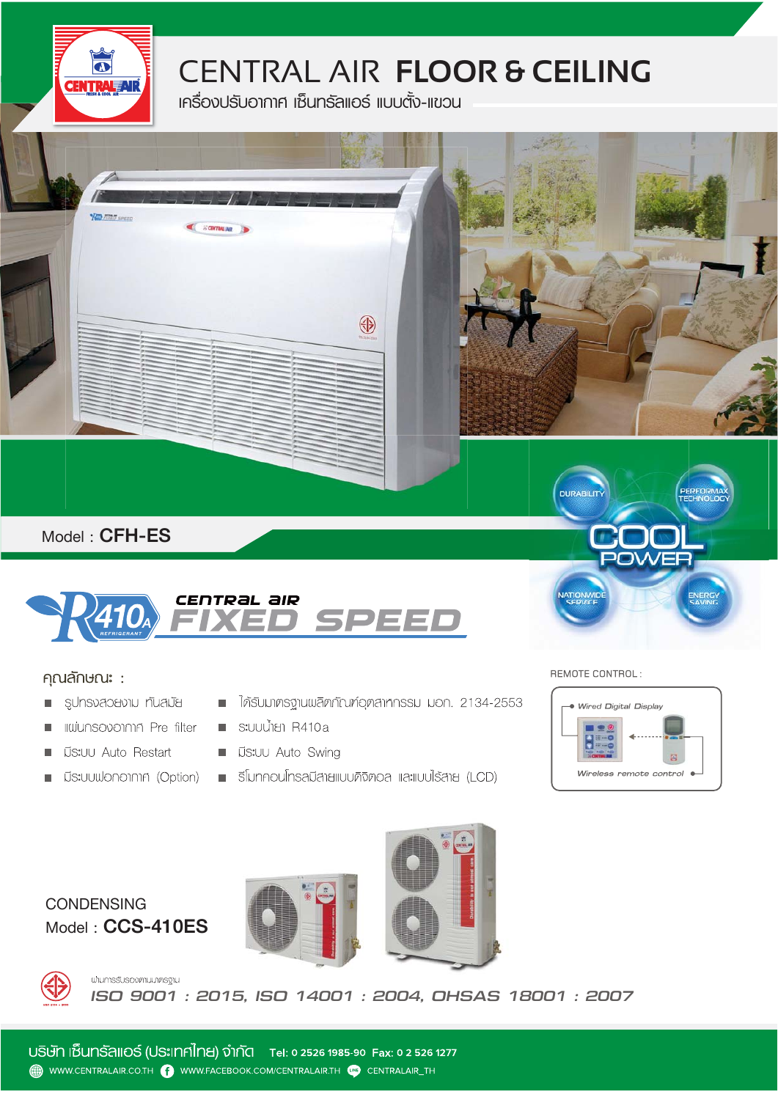

## CENTRAL AIR **FLOOR & CEILING**

**เครื่องปรับอากาศ เซ็นทรัลแอรแบบตั้ง-แขวน**



#### คุณลักษณ**ะ** :

- รูปทรงสวยงาม ทันสมัย  $\Box$
- **IIIWUNSOVOINIA Pre filter**  $\blacksquare$
- **US:UU Auto Restart**
- $\overline{\phantom{a}}$
- ได้รับมาตรฐานพลิตภัณฑ์อุตสาหกรรม มอก. 2134-2553
- $\blacksquare$  s: UU  $\mathring{\mathcal{M}}$  S: UU  $\mathring{\mathcal{M}}$  R410a
- **UNITED State** Swing
- มีระบบฟอกอากาศ (Option) = ริโมทคอนโทรลมีสายแบบคิจิตอล และแบบไร้สาย (LCD)

#### REMOTE CONTROL:



### **Model :** CCS-410ES **CONDENSING**







น่านการรับรองศามมาศรฐาน *ISO 9001 : 2015, ISO 14001 : 2004, OHSAS 18001 : 2007*